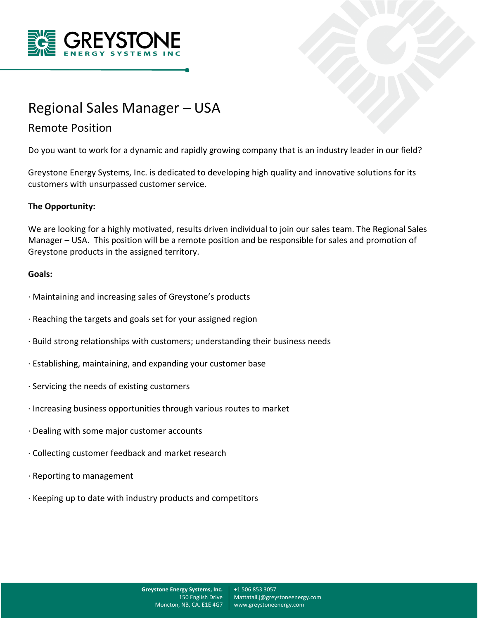



## Remote Position

Do you want to work for a dynamic and rapidly growing company that is an industry leader in our field?

Greystone Energy Systems, Inc. is dedicated to developing high quality and innovative solutions for its customers with unsurpassed customer service.

## **The Opportunity:**

We are looking for a highly motivated, results driven individual to join our sales team. The Regional Sales Manager – USA. This position will be a remote position and be responsible for sales and promotion of Greystone products in the assigned territory.

## **Goals:**

- · Maintaining and increasing sales of Greystone's products
- · Reaching the targets and goals set for your assigned region
- · Build strong relationships with customers; understanding their business needs
- · Establishing, maintaining, and expanding your customer base
- · Servicing the needs of existing customers
- · Increasing business opportunities through various routes to market
- · Dealing with some major customer accounts
- · Collecting customer feedback and market research
- · Reporting to management
- · Keeping up to date with industry products and competitors